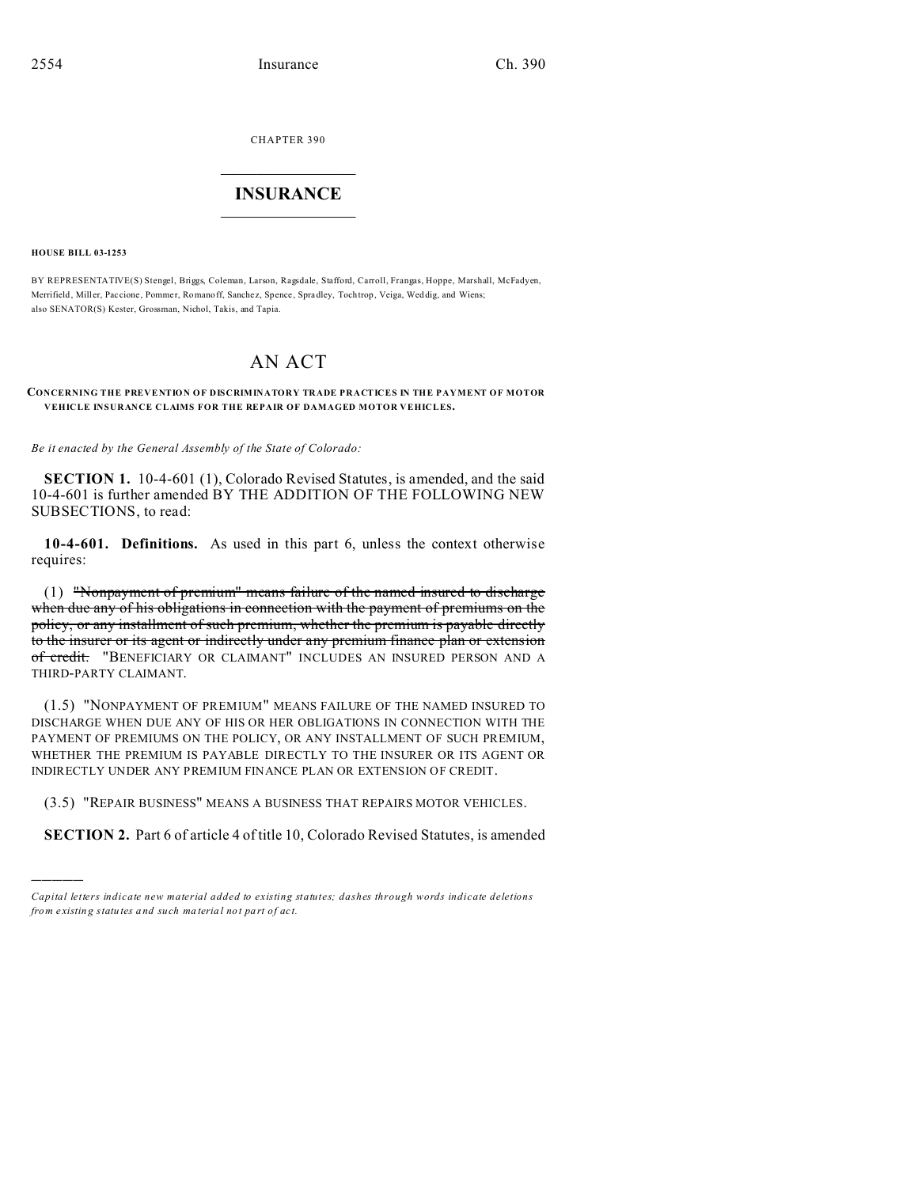CHAPTER 390

## $\overline{\phantom{a}}$  , where  $\overline{\phantom{a}}$ **INSURANCE**  $\_$   $\_$   $\_$   $\_$   $\_$   $\_$   $\_$   $\_$

**HOUSE BILL 03-1253**

)))))

BY REPRESENTATIVE(S) Stengel, Briggs, Coleman, Larson, Ragsdale, Stafford, Carroll, Frangas, Hoppe, Marshall, McFadyen, Merrifield, Miller, Paccione, Pommer, Romanoff, Sanchez, Spence, Spradley, Tochtrop, Veiga, Weddig, and Wiens; also SENATOR(S) Kester, Grossman, Nichol, Takis, and Tapia.

## AN ACT

**CONCERNING THE PREVENTION OF DISCRIMINATORY TRADE PRACTICES IN THE PAYMENT OF MOTOR VEHICLE INSURANCE CLAIMS FOR THE REPAIR OF DAMAGED MOTOR VEHICLES.**

*Be it enacted by the General Assembly of the State of Colorado:*

**SECTION 1.** 10-4-601 (1), Colorado Revised Statutes, is amended, and the said 10-4-601 is further amended BY THE ADDITION OF THE FOLLOWING NEW SUBSECTIONS, to read:

**10-4-601. Definitions.** As used in this part 6, unless the context otherwise requires:

(1) "Nonpayment of premium" means failure of the named insured to discharge when due any of his obligations in connection with the payment of premiums on the policy, or any installment of such premium, whether the premium is payable directly to the insurer or its agent or indirectly under any premium finance plan or extension of credit. "BENEFICIARY OR CLAIMANT" INCLUDES AN INSURED PERSON AND A THIRD-PARTY CLAIMANT.

(1.5) "NONPAYMENT OF PREMIUM" MEANS FAILURE OF THE NAMED INSURED TO DISCHARGE WHEN DUE ANY OF HIS OR HER OBLIGATIONS IN CONNECTION WITH THE PAYMENT OF PREMIUMS ON THE POLICY, OR ANY INSTALLMENT OF SUCH PREMIUM, WHETHER THE PREMIUM IS PAYABLE DIRECTLY TO THE INSURER OR ITS AGENT OR INDIRECTLY UNDER ANY PREMIUM FINANCE PLAN OR EXTENSION OF CREDIT.

(3.5) "REPAIR BUSINESS" MEANS A BUSINESS THAT REPAIRS MOTOR VEHICLES.

**SECTION 2.** Part 6 of article 4 of title 10, Colorado Revised Statutes, is amended

*Capital letters indicate new material added to existing statutes; dashes through words indicate deletions from e xistin g statu tes a nd such ma teria l no t pa rt of ac t.*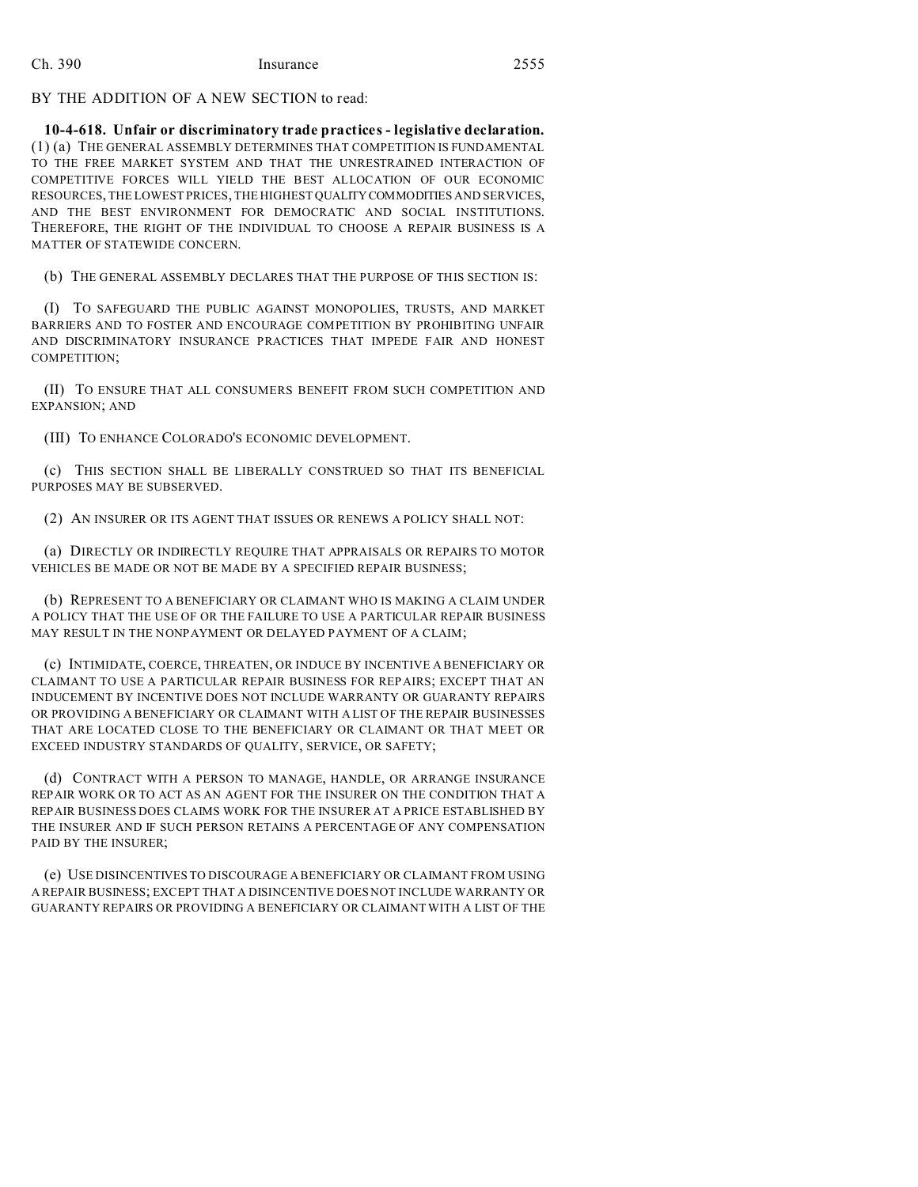BY THE ADDITION OF A NEW SECTION to read:

**10-4-618. Unfair or discriminatory trade practices - legislative declaration.** (1) (a) THE GENERAL ASSEMBLY DETERMINES THAT COMPETITION IS FUNDAMENTAL TO THE FREE MARKET SYSTEM AND THAT THE UNRESTRAINED INTERACTION OF COMPETITIVE FORCES WILL YIELD THE BEST ALLOCATION OF OUR ECONOMIC RESOURCES, THE LOWEST PRICES, THE HIGHEST QUALITY COMMODITIES AND SERVICES, AND THE BEST ENVIRONMENT FOR DEMOCRATIC AND SOCIAL INSTITUTIONS. THEREFORE, THE RIGHT OF THE INDIVIDUAL TO CHOOSE A REPAIR BUSINESS IS A MATTER OF STATEWIDE CONCERN.

(b) THE GENERAL ASSEMBLY DECLARES THAT THE PURPOSE OF THIS SECTION IS:

(I) TO SAFEGUARD THE PUBLIC AGAINST MONOPOLIES, TRUSTS, AND MARKET BARRIERS AND TO FOSTER AND ENCOURAGE COMPETITION BY PROHIBITING UNFAIR AND DISCRIMINATORY INSURANCE PRACTICES THAT IMPEDE FAIR AND HONEST COMPETITION;

(II) TO ENSURE THAT ALL CONSUMERS BENEFIT FROM SUCH COMPETITION AND EXPANSION; AND

(III) TO ENHANCE COLORADO'S ECONOMIC DEVELOPMENT.

(c) THIS SECTION SHALL BE LIBERALLY CONSTRUED SO THAT ITS BENEFICIAL PURPOSES MAY BE SUBSERVED.

(2) AN INSURER OR ITS AGENT THAT ISSUES OR RENEWS A POLICY SHALL NOT:

(a) DIRECTLY OR INDIRECTLY REQUIRE THAT APPRAISALS OR REPAIRS TO MOTOR VEHICLES BE MADE OR NOT BE MADE BY A SPECIFIED REPAIR BUSINESS;

(b) REPRESENT TO A BENEFICIARY OR CLAIMANT WHO IS MAKING A CLAIM UNDER A POLICY THAT THE USE OF OR THE FAILURE TO USE A PARTICULAR REPAIR BUSINESS MAY RESULT IN THE NONPAYMENT OR DELAYED PAYMENT OF A CLAIM;

(c) INTIMIDATE, COERCE, THREATEN, OR INDUCE BY INCENTIVE A BENEFICIARY OR CLAIMANT TO USE A PARTICULAR REPAIR BUSINESS FOR REPAIRS; EXCEPT THAT AN INDUCEMENT BY INCENTIVE DOES NOT INCLUDE WARRANTY OR GUARANTY REPAIRS OR PROVIDING A BENEFICIARY OR CLAIMANT WITH A LIST OF THE REPAIR BUSINESSES THAT ARE LOCATED CLOSE TO THE BENEFICIARY OR CLAIMANT OR THAT MEET OR EXCEED INDUSTRY STANDARDS OF QUALITY, SERVICE, OR SAFETY;

(d) CONTRACT WITH A PERSON TO MANAGE, HANDLE, OR ARRANGE INSURANCE REPAIR WORK OR TO ACT AS AN AGENT FOR THE INSURER ON THE CONDITION THAT A REPAIR BUSINESS DOES CLAIMS WORK FOR THE INSURER AT A PRICE ESTABLISHED BY THE INSURER AND IF SUCH PERSON RETAINS A PERCENTAGE OF ANY COMPENSATION PAID BY THE INSURER;

(e) USE DISINCENTIVES TO DISCOURAGE A BENEFICIARY OR CLAIMANT FROM USING A REPAIR BUSINESS; EXCEPT THAT A DISINCENTIVE DOES NOT INCLUDE WARRANTY OR GUARANTY REPAIRS OR PROVIDING A BENEFICIARY OR CLAIMANT WITH A LIST OF THE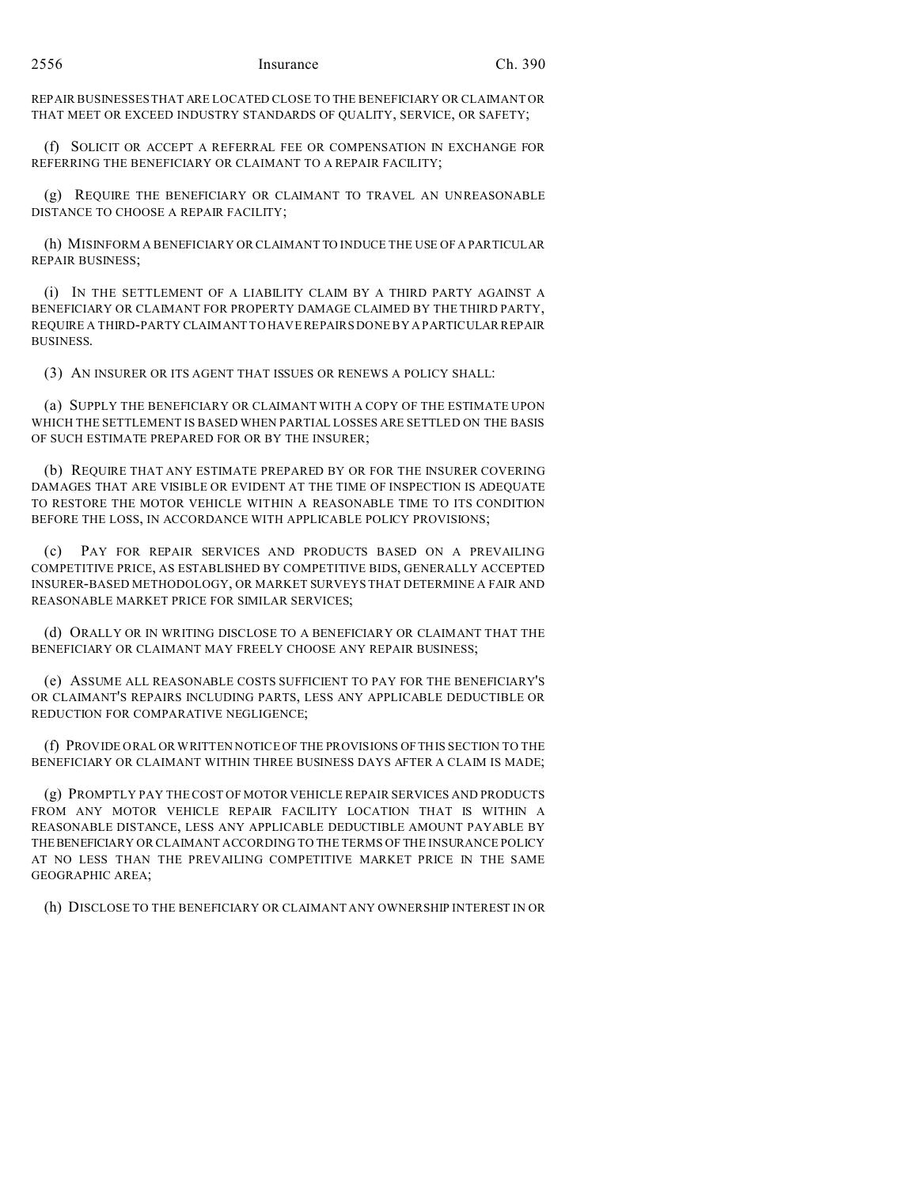REPAIR BUSINESSES THAT ARE LOCATED CLOSE TO THE BENEFICIARY OR CLAIMANT OR THAT MEET OR EXCEED INDUSTRY STANDARDS OF QUALITY, SERVICE, OR SAFETY;

(f) SOLICIT OR ACCEPT A REFERRAL FEE OR COMPENSATION IN EXCHANGE FOR REFERRING THE BENEFICIARY OR CLAIMANT TO A REPAIR FACILITY;

(g) REQUIRE THE BENEFICIARY OR CLAIMANT TO TRAVEL AN UNREASONABLE DISTANCE TO CHOOSE A REPAIR FACILITY;

(h) MISINFORM A BENEFICIARY OR CLAIMANT TO INDUCE THE USE OF A PARTICULAR REPAIR BUSINESS;

(i) IN THE SETTLEMENT OF A LIABILITY CLAIM BY A THIRD PARTY AGAINST A BENEFICIARY OR CLAIMANT FOR PROPERTY DAMAGE CLAIMED BY THE THIRD PARTY, REQUIRE A THIRD-PARTY CLAIMANT TO HAVE REPAIRS DONE BY A PARTICULAR REPAIR BUSINESS.

(3) AN INSURER OR ITS AGENT THAT ISSUES OR RENEWS A POLICY SHALL:

(a) SUPPLY THE BENEFICIARY OR CLAIMANT WITH A COPY OF THE ESTIMATE UPON WHICH THE SETTLEMENT IS BASED WHEN PARTIAL LOSSES ARE SETTLED ON THE BASIS OF SUCH ESTIMATE PREPARED FOR OR BY THE INSURER;

(b) REQUIRE THAT ANY ESTIMATE PREPARED BY OR FOR THE INSURER COVERING DAMAGES THAT ARE VISIBLE OR EVIDENT AT THE TIME OF INSPECTION IS ADEQUATE TO RESTORE THE MOTOR VEHICLE WITHIN A REASONABLE TIME TO ITS CONDITION BEFORE THE LOSS, IN ACCORDANCE WITH APPLICABLE POLICY PROVISIONS;

(c) PAY FOR REPAIR SERVICES AND PRODUCTS BASED ON A PREVAILING COMPETITIVE PRICE, AS ESTABLISHED BY COMPETITIVE BIDS, GENERALLY ACCEPTED INSURER-BASED METHODOLOGY, OR MARKET SURVEYS THAT DETERMINE A FAIR AND REASONABLE MARKET PRICE FOR SIMILAR SERVICES;

(d) ORALLY OR IN WRITING DISCLOSE TO A BENEFICIARY OR CLAIMANT THAT THE BENEFICIARY OR CLAIMANT MAY FREELY CHOOSE ANY REPAIR BUSINESS;

(e) ASSUME ALL REASONABLE COSTS SUFFICIENT TO PAY FOR THE BENEFICIARY'S OR CLAIMANT'S REPAIRS INCLUDING PARTS, LESS ANY APPLICABLE DEDUCTIBLE OR REDUCTION FOR COMPARATIVE NEGLIGENCE;

(f) PROVIDE ORAL OR WRITTEN NOTICE OF THE PROVISIONS OF THIS SECTION TO THE BENEFICIARY OR CLAIMANT WITHIN THREE BUSINESS DAYS AFTER A CLAIM IS MADE;

(g) PROMPTLY PAY THE COST OF MOTOR VEHICLE REPAIR SERVICES AND PRODUCTS FROM ANY MOTOR VEHICLE REPAIR FACILITY LOCATION THAT IS WITHIN A REASONABLE DISTANCE, LESS ANY APPLICABLE DEDUCTIBLE AMOUNT PAYABLE BY THEBENEFICIARY OR CLAIMANT ACCORDING TO THE TERMS OF THE INSURANCE POLICY AT NO LESS THAN THE PREVAILING COMPETITIVE MARKET PRICE IN THE SAME GEOGRAPHIC AREA;

(h) DISCLOSE TO THE BENEFICIARY OR CLAIMANT ANY OWNERSHIP INTEREST IN OR